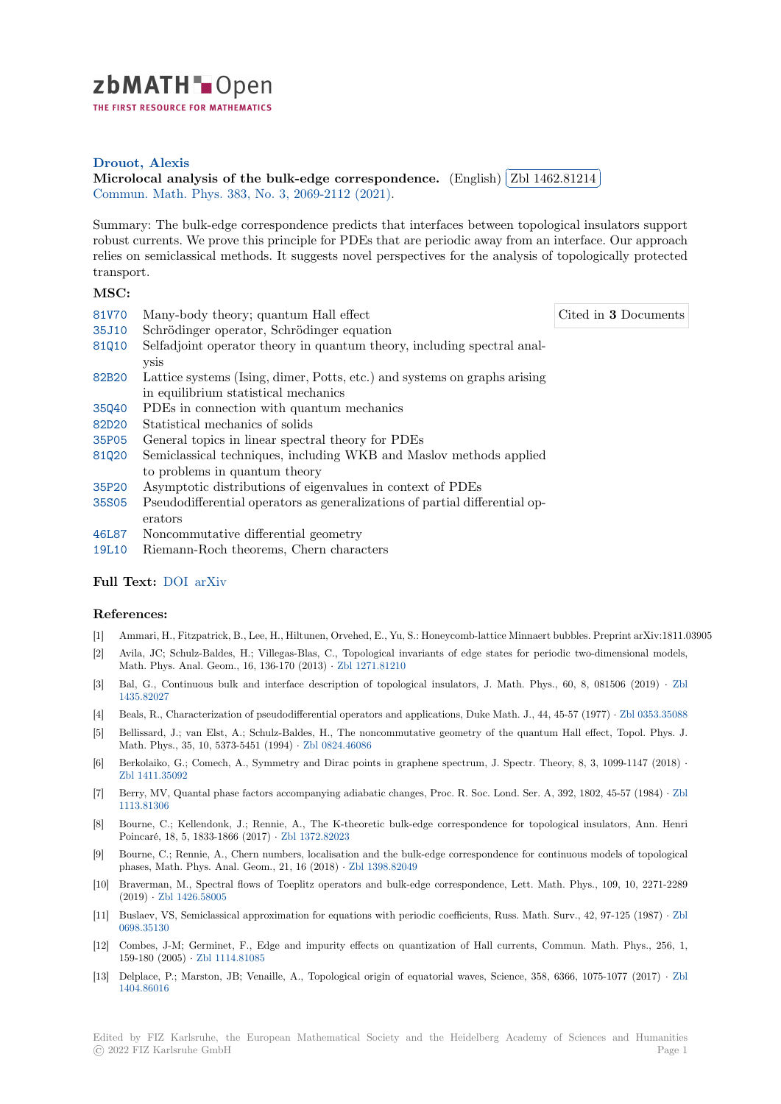

THE FIRST RESOURCE FOR MATHEMATICS

## **Drouot, Alexis**

 $\blacksquare$ <br>[M](https://zbmath.org/)icrolocal analysis of the bulk-edge correspondence.  $\blacksquare$  [English)  $\lceil$ ✂ Zbl 1462.81214 Ĭ. Į. Commun. Math. Phys. 383, No. 3, 2069-2112 (2021).

[Summary: The b](https://zbmath.org/authors/?q=ai:drouot.alexis)ulk-edge correspondence predicts that interfaces between topological insulators support [robust currents. We prove this principle for PDEs that are per](https://zbmath.org/1462.81214)iodic away [from an interface.](https://zbmath.org/1462.81214) Our approach [relies on semiclassical](https://zbmath.org/journals/?q=se:63) [methods. It suggests novel per](https://zbmath.org/?q=in:462161)spectives for the analysis of topologically protected transport.

## **MSC:**

- 81V70 Many-body theory; quantum Hall effect
- 35J10 Schrödinger operator, Schrödinger equation
- 81Q10 Selfadjoint operator theory in quantum theory, including spectral analysis
- [82B20](https://zbmath.org/classification/?q=cc:81V70) Lattice systems (Ising, dimer, Potts, etc.) and systems on graphs arising in equilibrium statistical mechanics
- [35Q40](https://zbmath.org/classification/?q=cc:81Q10) PDEs in connection with quantum mechanics
- 82D20 Statistical mechanics of solids
- [35P05](https://zbmath.org/classification/?q=cc:82B20) General topics in linear spectral theory for PDEs
- 81Q20 Semiclassical techniques, including WKB and Maslov methods applied to problems in quantum theory
- [35P20](https://zbmath.org/classification/?q=cc:82D20) Asymptotic distributions of eigenvalues in context of PDEs
- [35S05](https://zbmath.org/classification/?q=cc:35P05) Pseudodifferential operators as generalizations of partial differential operators
- [46L87](https://zbmath.org/classification/?q=cc:81Q20) Noncommutative differential geometry
- [19L10](https://zbmath.org/classification/?q=cc:35P20) Riemann-Roch theorems, Chern characters

## **[Full T](https://zbmath.org/classification/?q=cc:35S05)ext:** DOI arXiv

## **[Refer](https://zbmath.org/classification/?q=cc:19L10)ences:**

- [1] Ammari, H., Fitzpatrick, B., Lee, H., Hiltunen, Orvehed, E., Yu, S.: Honeycomb-lattice Minnaert bubbles. Preprint arXiv:1811.03905
- [2] Avila, JC[; Schu](https://dx.doi.org/10.1007/s00220-020-03864-4)[lz-Balde](https://arxiv.org/abs/1909.10474)s, H.; Villegas-Blas, C., Topological invariants of edge states for periodic two-dimensional models, Math. Phys. Anal. Geom., 16, 136-170 (2013) *·* Zbl 1271.81210
- [3] Bal, G., Continuous bulk and interface description of topological insulators, J. Math. Phys., 60, 8, 081506 (2019) *·* Zbl 1435.82027
- [4] Beals, R., Characterization of pseudodifferential operators and applications, Duke Math. J., 44, 45-57 (1977) *·* Zbl 0353.35088
- [5] Bellissard, J.; van Elst, A.; Schulz-Baldes, H., [The noncommu](https://zbmath.org/1271.81210)tative geometry of the quantum Hall effect, Topol. Phys. J. Math. Phys., 35, 10, 5373-5451 (1994) *·* Zbl 0824.46086
- [6] [Berkolaiko,](https://zbmath.org/1435.82027) G.; Comech, A., Symmetry and Dirac points in graphene spectrum, J. Spectr. Theory, 8, 3, 1099-1147 (2018) *·* Zbl 1411.35092
- [7] Berry, MV, Quantal phase factors accompanying adiabatic changes, Proc. R. Soc. Lond. Ser. A, 392, 1802, 45-57 (1984) *·* Zbl 1113.81306
- [8] Bourne, C.; Kellendonk, J.; Rennie, A., The K-theoretic bulk-edge correspondence for topological insulators, Ann. Henri [Poincaré, 18, 5,](https://zbmath.org/1411.35092) 1833-1866 (2017) *·* Zbl 1372.82023
- [9] Bourne, C.; Rennie, A., Chern numbers, localisation and the bulk-edge correspondence for continuous models of topolog[ical](https://zbmath.org/1113.81306) [phases, Ma](https://zbmath.org/1113.81306)th. Phys. Anal. Geom., 21, 16 (2018) *·* Zbl 1398.82049
- [10] Braverman, M., Spectral flows of Toeplitz operators and bulk-edge correspondence, Lett. Math. Phys., 109, 10, 2271-2289 (2019) *·* Zbl 1426.58005
- [11] Buslaev, VS, Semiclassical approximation for equations with periodic coefficients, Russ. Math. Surv., 42, 97-125 (1987) *·* Zbl 0698.35130
- [12] Combes, J-M; Germinet, F., Edge and impurity effects on quantization of Hall currents, Commun. Math. Phys., 256, 1, 159-180 (2005) *·* [Zbl 111](https://zbmath.org/1426.58005)4.81085
- [13] Delplace, P.; Marston, JB; Venaille, A., Topological origin of equatorial waves, Science, 358, 6366, 1075-1077 (2017) *·* [Zbl](https://zbmath.org/0698.35130) [1404.86016](https://zbmath.org/0698.35130)

Cited in **3** Documents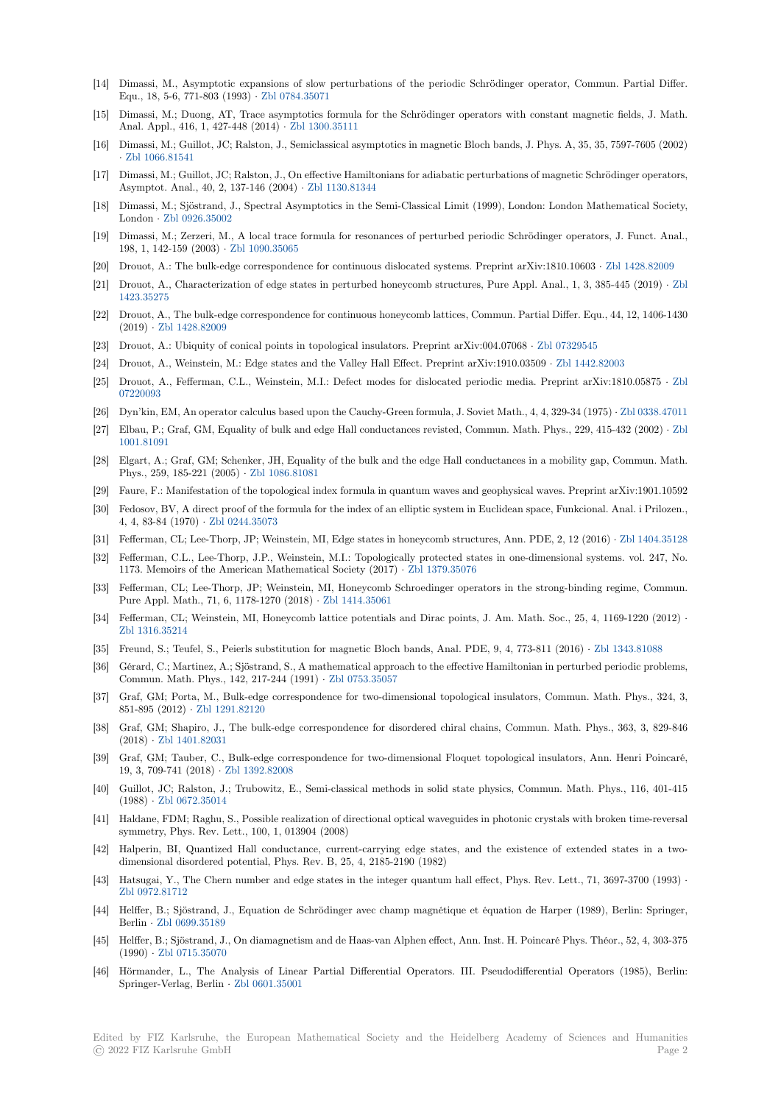- [14] Dimassi, M., Asymptotic expansions of slow perturbations of the periodic Schrödinger operator, Commun. Partial Differ. Equ., 18, 5-6, 771-803 (1993) *·* Zbl 0784.35071
- [15] Dimassi, M.; Duong, AT, Trace asymptotics formula for the Schrödinger operators with constant magnetic fields, J. Math. Anal. Appl., 416, 1, 427-448 (2014) *·* Zbl 1300.35111
- [16] Dimassi, M.; Guillot, JC; Ralston, J., Semiclassical asymptotics in magnetic Bloch bands, J. Phys. A, 35, 35, 7597-7605 (2002) *·* Zbl 1066.81541
- [17] Dimassi, M.; Guillot, JC; Ralston, J., On effective Hamiltonians for adiabatic perturbations of magnetic Schrödinger operators, Asymptot. Anal., 40, 2, 137-146 (2004) *·* [Zbl 1130.81](https://zbmath.org/1300.35111)344
- [18] Dimassi, M.; Sjöstrand, J., Spectral Asymptotics in the Semi-Classical Limit (1999), London: London Mathematical Society, London *·* [Zbl 092](https://zbmath.org/1066.81541)6.35002
- [19] Dimassi, M.; Zerzeri, M., A local trace formula for resonances of perturbed periodic Schrödinger operators, J. Funct. Anal., 198, 1, 142-159 (2003) *·* Zbl 1090.35065
- [20] Drouot, A.: The bulk-edge correspondence for continuous dislocated systems. Preprint arXiv:1810.10603 *·* Zbl 1428.82009
- [21] Drouot, [A., Characteriza](https://zbmath.org/0926.35002)tion of edge states in perturbed honeycomb structures, Pure Appl. Anal., 1, 3, 385-445 (2019) *·* Zbl 1423.35275
- [22] Drouot, A., The bulk-ed[ge corresponden](https://zbmath.org/1090.35065)ce for continuous honeycomb lattices, Commun. Partial Differ. Equ., 44, 12, 1406-1430 (2019) *·* Zbl 1428.82009
- [23] Drouot, A.: Ubiquity of conical points in topological insulators. Preprint arXiv:004.07068 *·* Zbl 07329545
- [24] [Drouot, A.,](https://zbmath.org/1423.35275) Weinstein, M.: Edge states and the Valley Hall Effect. Preprint arXiv:1910.03509 *·* Zbl 1442.82003
- [25] Drouot, [A., Fefferman,](https://zbmath.org/1428.82009) C.L., Weinstein, M.I.: Defect modes for dislocated periodic media. Preprint arXiv:1810.05875 *·* Zbl 07220093
- [26] Dyn'kin, EM, An operator calculus based upon the Cauchy-Green formula, J. Soviet Math.,4[, 4, 329-34 \(197](https://zbmath.org/07329545)5) *·* Zbl 0338.47011
- [27] Elbau, P.; Graf, GM, Equality of bulk and edge Hall conductances revisted, Commun. Math. P[hys., 229, 415-43](https://zbmath.org/1442.82003)2 (2002) *·* Zbl 1001.81091
- [28] [Elgart, A](https://zbmath.org/07220093).; Graf, GM; Schenker, JH, Equality of the bulk and the edge Hall conductances in a mobility gap, Commun. Math. Phys., 259, 185-221 (2005) *·* Zbl 1086.81081
- [29] Faure, F.: Manifestation of the topological index formula in quantum waves and geophysical waves. Preprint arXiv:1901.10[592](https://zbmath.org/1001.81091)
- [30] [Fedosov, BV](https://zbmath.org/1001.81091), A direct proof of the formula for the index of an elliptic system in Euclidean space, Funkcional. Anal. i Prilozen., 4, 4, 83-84 (1970) *·* Zbl 0244.35073
- [31] Fefferman, CL; Lee-Thorp,J[P; Weinstein, M](https://zbmath.org/1086.81081)I, Edge states in honeycomb structures, Ann. PDE, 2, 12 (2016) *·* Zbl 1404.35128
- [32] Fefferman, C.L., Lee-Thorp, J.P., Weinstein, M.I.: Topologically protected states in one-dimensional systems. vol. 247, No. 1173. Memoirs of the American Mathematical Society (2017) *·* Zbl 1379.35076
- [33] Fefferman, CL; Lee[-Thorp, JP; We](https://zbmath.org/0244.35073)instein, MI, Honeycomb Schroedinger operators in the strong-binding regime, Commun. Pure Appl. Math., 71, 6, 1178-1270 (2018) *·* Zbl 1414.35061
- [34] Fefferman, CL; Weinstein, MI, Honeycomb lattice potentials and Dirac points, J. Am. Math. Soc., 25, 4, 1169-1220 (2012) *·* Zbl 1316.35214
- [35] Freund, S.; Teufel, S., Peierls substitution for magnetic Bloch bands, Anal. PDE, 9, 4, 773-811 (2016) *·* Zbl 1343.81088
- [36] Gérard, C.; Martinez, A.; Sjöstrand, S., A m[athematical appr](https://zbmath.org/1414.35061)oach to the effective Hamiltonian in perturbed periodic problems, Commun. Math. Phys., 142, 217-244 (1991) *·* Zbl 0753.35057
- [37] [Graf, GM; Port](https://zbmath.org/1316.35214)a, M., Bulk-edge correspondence for two-dimensional topological insulators, Commun. Math. Phys., 324, 3, 851-895 (2012) *·* Zbl 1291.82120
- [38] Graf, GM; Shapiro, J., The bulk-edge correspondence for disordered chiral chains, Commun. Math. Phys., 363, 3, 829-846 (2018) *·* Zbl 1401.82031
- [39] Graf, GM; Tauber, C., Bulk-edge correspondence for two-dimensional Floquet topological insulators, Ann. Henri Poincaré, 19, 3, 709-741 (2018) *·* [Zbl 1392.](https://zbmath.org/1291.82120)82008
- [40] Guillot, JC; Ralston, J.; Trubowitz, E., Semi-classical methods in solid state physics, Commun. Math. Phys., 116, 401-415 (1988) *·* [Zbl 0672.35014](https://zbmath.org/1401.82031)
- [41] Haldane, FDM; Raghu, S., Possible realization of directional optical waveguides in photonic crystals with broken time-reversal symmetry, Phys. Rev. [Lett., 100, 1, 01](https://zbmath.org/1392.82008)3904 (2008)
- [42] Halperin, BI, Quantized Hall conductance, current-carrying edge states, and the existence of extended states in a twodimensi[onal disordered](https://zbmath.org/0672.35014) potential, Phys. Rev. B, 25, 4, 2185-2190 (1982)
- [43] Hatsugai, Y., The Chern number and edge states in the integer quantum hall effect, Phys. Rev. Lett., 71, 3697-3700 (1993) *·* Zbl 0972.81712
- [44] Helffer, B.; Sjöstrand, J., Equation de Schrödinger avec champ magnétique et équation de Harper (1989), Berlin: Springer, Berlin *·* Zbl 0699.35189
- [45] Helffer, B.; Sjöstrand, J., On diamagnetism and de Haas-van Alphen effect, Ann. Inst. H. Poincaré Phys. Théor., 52, 4, 303-375 (1990) *·* [Zbl 071](https://zbmath.org/0972.81712)5.35070
- [46] Hörmander, L., The Analysis of Linear Partial Differential Operators. III. Pseudodifferential Operators (1985), Berlin: Springe[r-Verlag, Berlin](https://zbmath.org/0699.35189) *·* Zbl 0601.35001